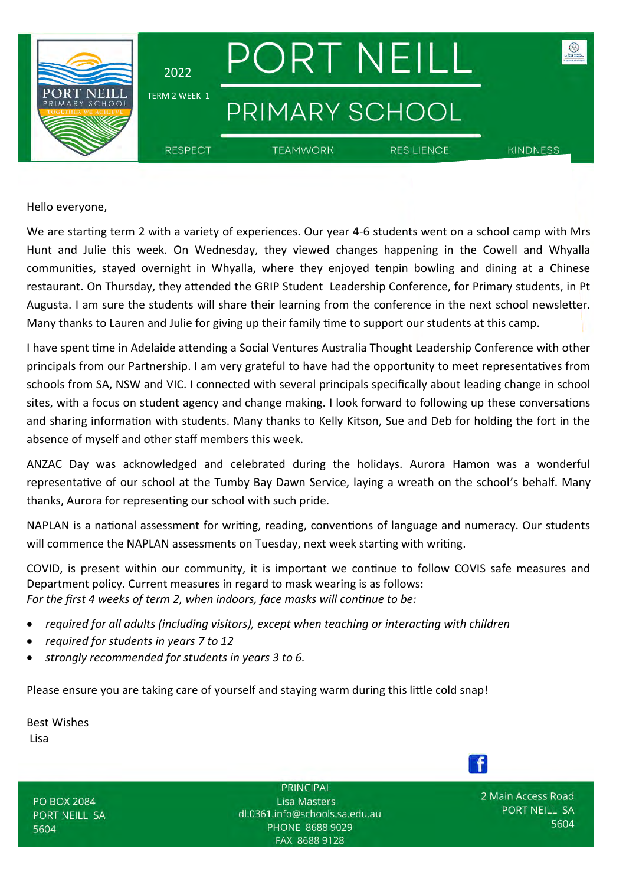

Hello everyone,

We are starting term 2 with a variety of experiences. Our year 4-6 students went on a school camp with Mrs Hunt and Julie this week. On Wednesday, they viewed changes happening in the Cowell and Whyalla communities, stayed overnight in Whyalla, where they enjoyed tenpin bowling and dining at a Chinese restaurant. On Thursday, they attended the GRIP Student Leadership Conference, for Primary students, in Pt Augusta. I am sure the students will share their learning from the conference in the next school newsletter. Many thanks to Lauren and Julie for giving up their family time to support our students at this camp.

I have spent time in Adelaide attending a Social Ventures Australia Thought Leadership Conference with other principals from our Partnership. I am very grateful to have had the opportunity to meet representatives from schools from SA, NSW and VIC. I connected with several principals specifically about leading change in school sites, with a focus on student agency and change making. I look forward to following up these conversations and sharing information with students. Many thanks to Kelly Kitson, Sue and Deb for holding the fort in the absence of myself and other staff members this week.

ANZAC Day was acknowledged and celebrated during the holidays. Aurora Hamon was a wonderful representative of our school at the Tumby Bay Dawn Service, laying a wreath on the school's behalf. Many thanks, Aurora for representing our school with such pride.

NAPLAN is a national assessment for writing, reading, conventions of language and numeracy. Our students will commence the NAPLAN assessments on Tuesday, next week starting with writing.

COVID, is present within our community, it is important we continue to follow COVIS safe measures and Department policy. Current measures in regard to mask wearing is as follows: *For the first 4 weeks of term 2, when indoors, face masks will continue to be:*

- *required for all adults (including visitors), except when teaching or interacting with children*
- *required for students in years 7 to 12*
- *strongly recommended for students in years 3 to 6.*

Please ensure you are taking care of yourself and staying warm during this little cold snap!

Best Wishes Lisa

**PO BOX 2084** PORT NEILL SA 5604

PRINCIPAL **Lisa Masters** dl.0361.info@schools.sa.edu.au PHONE 8688 9029 FAX 8688 9128

2 Main Access Road PORT NEILL SA 5604

 $\mathbf{f}$